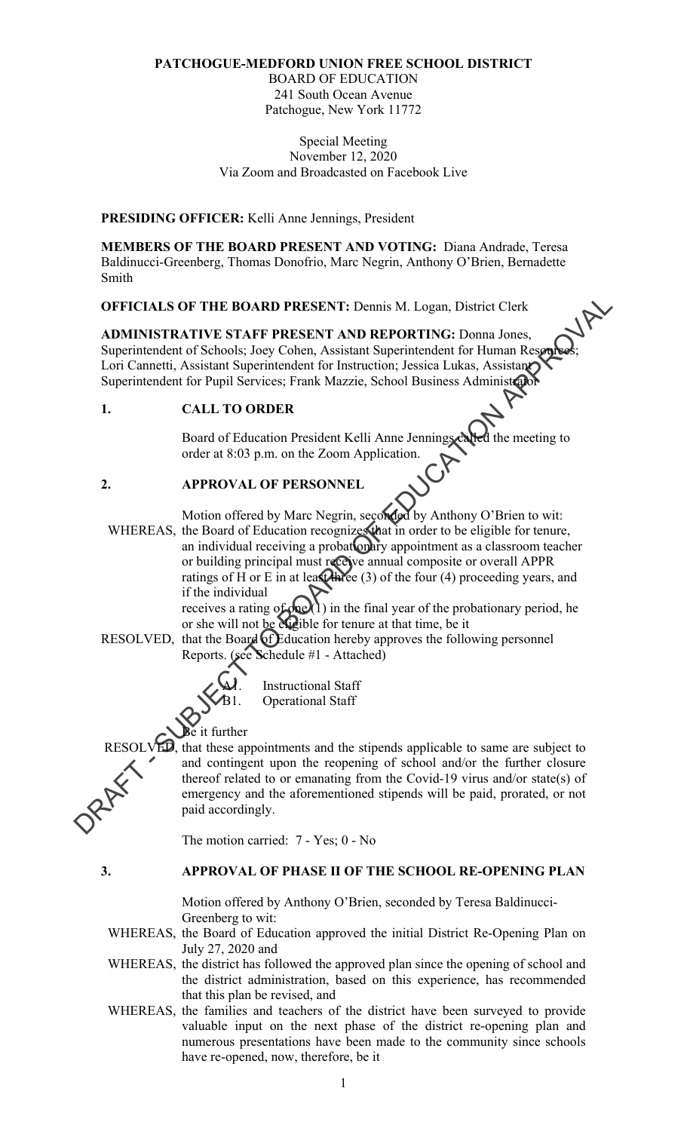# **PATCHOGUE-MEDFORD UNION FREE SCHOOL DISTRICT**

BOARD OF EDUCATION 241 South Ocean Avenue Patchogue, New York 11772

#### Special Meeting November 12, 2020 Via Zoom and Broadcasted on Facebook Live

**PRESIDING OFFICER:** Kelli Anne Jennings, President

**MEMBERS OF THE BOARD PRESENT AND VOTING:** Diana Andrade, Teresa Baldinucci-Greenberg, Thomas Donofrio, Marc Negrin, Anthony O'Brien, Bernadette Smith

**OFFICIALS OF THE BOARD PRESENT:** Dennis M. Logan, District Clerk

**ADMINISTRATIVE STAFF PRESENT AND REPORTING:** Donna Jones, Superintendent of Schools; Joey Cohen, Assistant Superintendent for Human Resources; Lori Cannetti, Assistant Superintendent for Instruction; Jessica Lukas, Assistant Superintendent of Senevice, 1997 1999<br>
Lori Cannetti, Assistant Superintendent for Instruction; Jessica Lukas, Assistant<br>
Superintendent for Pupil Services; Frank Mazzie, School Business Administrator

#### **1. CALL TO ORDER**

Board of Education President Kelli Anne Jennings called the meeting to order at 8:03 p.m. on the Zoom Application.

### **2. APPROVAL OF PERSONNEL**

Motion offered by Marc Negrin, seconded by Anthony O'Brien to wit: WHEREAS, the Board of Education recognizes that in order to be eligible for tenure, an individual receiving a probationary appointment as a classroom teacher or building principal must receive annual composite or overall APPR ratings of  $H$  or  $E$  in at least three (3) of the four (4) proceeding years, and if the individual **OFFICIALS OF THE BOARD PRESENT:** Demais M. Logan, District Clerk<br> **ADMINISTRATIVE STAFF PRESENT AND REPORTING:** Domai Jones,<br>
Superimendent of Schools, loes Colonia, Assistant Superintendent for the interaction and the s

receives a rating of  $\phi$  (1) in the final year of the probationary period, he or she will not be eighble for tenure at that time, be it

RESOLVED, that the Board of Education hereby approves the following personnel Reports. (see Schedule #1 - Attached)



 $\bigotimes$  it further

RESOLVED, that these appointments and the stipends applicable to same are subject to and contingent upon the reopening of school and/or the further closure thereof related to or emanating from the Covid-19 virus and/or state(s) of emergency and the aforementioned stipends will be paid, prorated, or not paid accordingly.

The motion carried: 7 - Yes; 0 - No

#### **3. APPROVAL OF PHASE II OF THE SCHOOL RE-OPENING PLAN**

Motion offered by Anthony O'Brien, seconded by Teresa Baldinucci-Greenberg to wit:

WHEREAS, the Board of Education approved the initial District Re-Opening Plan on July 27, 2020 and

- WHEREAS, the district has followed the approved plan since the opening of school and the district administration, based on this experience, has recommended that this plan be revised, and
- WHEREAS, the families and teachers of the district have been surveyed to provide valuable input on the next phase of the district re-opening plan and numerous presentations have been made to the community since schools have re-opened, now, therefore, be it